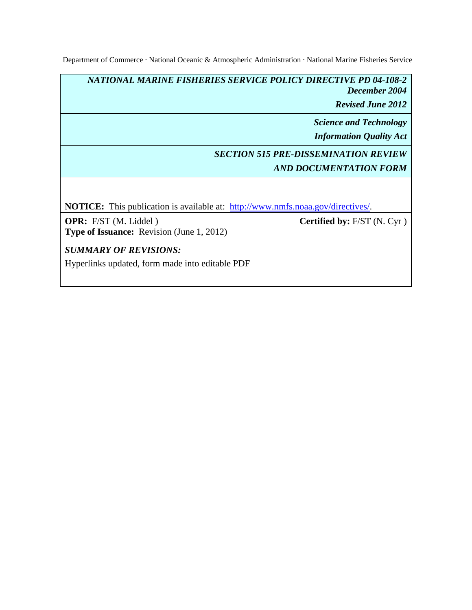Department of Commerce · National Oceanic & Atmospheric Administration · National Marine Fisheries Service

*NATIONAL MARINE FISHERIES SERVICE POLICY DIRECTIVE PD 04-108-2 December 2004*

*Revised June 2012*

*Science and Technology*

*Information Quality Act*

# *SECTION 515 PRE-DISSEMINATION REVIEW AND DOCUMENTATION FORM*

**NOTICE:** This publication is available at: http://www.nmfs.noaa.gov/directives/.

**OPR:** F/ST (M. Liddel ) **Type of Issuance:** Revision (June 1, 2012) **Certified by:** F/ST (N. Cyr )

*SUMMARY OF REVISIONS:* 

Hyperlinks updated, form made into editable PDF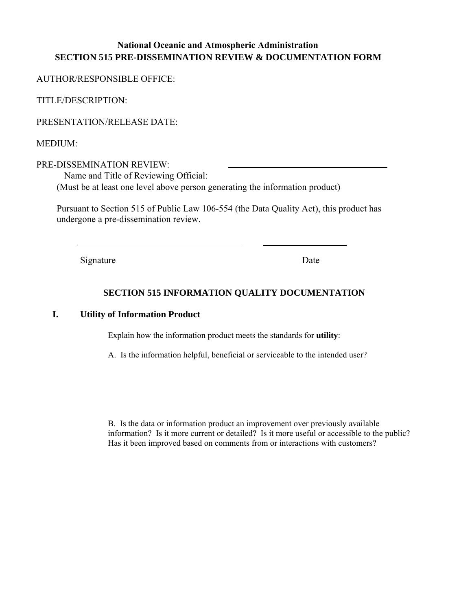## **National Oceanic and Atmospheric Administration SECTION 515 PRE-DISSEMINATION REVIEW & DOCUMENTATION FORM**

AUTHOR/RESPONSIBLE OFFICE:

TITLE/DESCRIPTION:

PRESENTATION/RELEASE DATE:

MEDIUM:

PRE-DISSEMINATION REVIEW: Name and Title of Reviewing Official: (Must be at least one level above person generating the information product)

Pursuant to Section 515 of Public Law 106-554 (the Data Quality Act), this product has undergone a pre-dissemination review.

Signature Date

## **SECTION 515 INFORMATION QUALITY DOCUMENTATION**

### **I. Utility of Information Product**

Explain how the information product meets the standards for **utility**:

A. Is the information helpful, beneficial or serviceable to the intended user?

B. Is the data or information product an improvement over previously available information? Is it more current or detailed? Is it more useful or accessible to the public? Has it been improved based on comments from or interactions with customers?